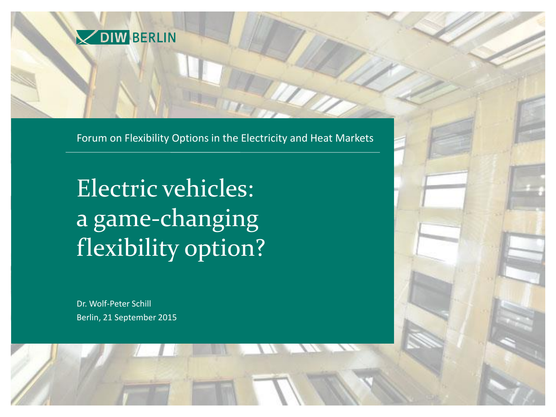

Forum on Flexibility Options in the Electricity and Heat Markets

Electric vehicles: a game-changing flexibility option?

Dr. Wolf-Peter Schill Berlin, 21 September 2015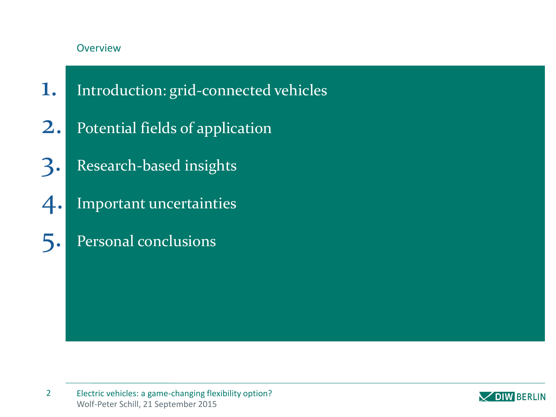### Overview

- 1. Introduction: grid-connected vehicles
- 2. Potential fields of application
- 3. Research-based insights
- 4. Important uncertainties
- 5. Personal conclusions

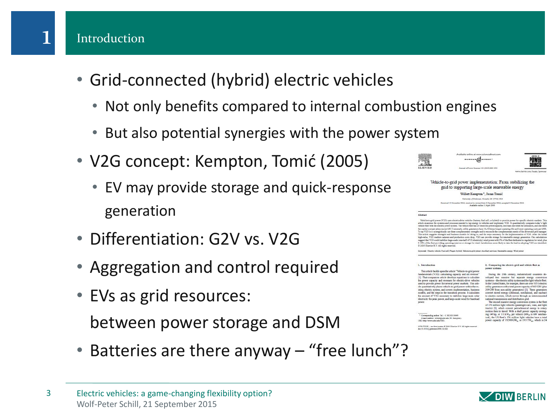### Introduction

- Grid-connected (hybrid) electric vehicles
	- Not only benefits compared to internal combustion engines
	- But also potential synergies with the power system
- V2G concept: Kempton, Tomić (2005)
	- EV may provide storage and quick-response generation
- Differentiation: G2V vs. V2G
- Aggregation and control required
- EVs as grid resources:

between power storage and DSM

• Batteries are there anyway – "free lunch"?



| и<br>ı<br>٠<br>ы |
|------------------|
|                  |
| ı.               |

Vehicle-to-grid power implementation: From stabilizing the grid to supporting large-scale renewable energy

> Willett Kempton\*, Jasna Tomić University of Delawane, Newark, DR 19716, USA .<br>In the motive form it December 2004; accepted it December 2004.

rio-drive vehicles (battery, fuel cell, or hybrid) to provide power for specific el ocesses needed to tap energy in vehicles and implement V2O. It quantitatively con-<br>ystem. The vehicle floot has 20 times the power capacity, less than one-tenth the utilize as the way as electron power system. In semicon that the 20 utility can be prescripted the same one-structure and the state of the state of the state of the state of the state of the state of the state of the state of the such contractors and provide the state of the fluctuation of the fluctuation of the state of US electricity) wind power with 3% of the fluctuation for which for w<br>In or storage for wind, Jurisdictions more likely to take t cale (concludif of US 2005 Elsevier B.V. All rights reserved.

.<br>pword: Electric vehicle; Poel cell; Plag-in hybrid; Vehicle-to-grid power; Ancillary services; Renewable energy; Wind powe

#### 1. Introduction

Abstract

2. Comparing the electric grid and vehicle fleet as<br>power systems During the 20th century, industrialized countries d veloped two massive but separate energy convers

This article builds upon the article "Vehicle-to-grid power lamentals (V2G): calculating capacity and net revenue' 1). That companion article develops equations to calculate by the compacity and revenues for electric-drive vehicles<br>sed to provide power for several power markets. This arti-<br>le quantitatively places vehicle-to-grid power within the exting electric system, and covers implementation, business codels, and the steps in the transition process. It calculates<br>te amount of V2G necessary to stabilize large-scale solar<br>lectricity for peak power, and large-scale wind for baseload

ibear willettijudel edu (W. Kempton).<br>ww.udel.edu/V2O.

stresses one states with a seven and the light vehicle fleet<br>In the United States, for example, there are over 9351 electric<br>utility generators with a total power capacity of 602 GW (plus 2005 GW from non-utility generators) [2]. These generators<br>2005 GW from non-utility generators) [2]. These generators<br>to electric current, which moves through an intense<br>network to electric current, which moves through an The second massive energy conversion system is the flee

the section massive energy conveniences and light<br>of 176 million light vehicles (passenger cars, vans, and light<br>modia) [3], which convert periodelemical energy to rotary<br>modion then to travel. With a shaft power capacity ical), the US fleet's 176 million light vehicles have a total<br>power capacity of 19,500 GW<sub>m</sub> or 19.5 TW<sub>m</sub>, which is 24

nater O 2005 Elanvier II.V. All rights res



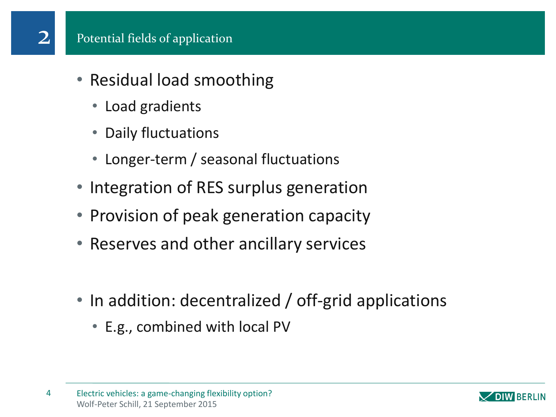- Residual load smoothing
	- Load gradients
	- Daily fluctuations
	- Longer-term / seasonal fluctuations
- Integration of RES surplus generation
- Provision of peak generation capacity
- Reserves and other ancillary services
- In addition: decentralized / off-grid applications
	- E.g., combined with local PV

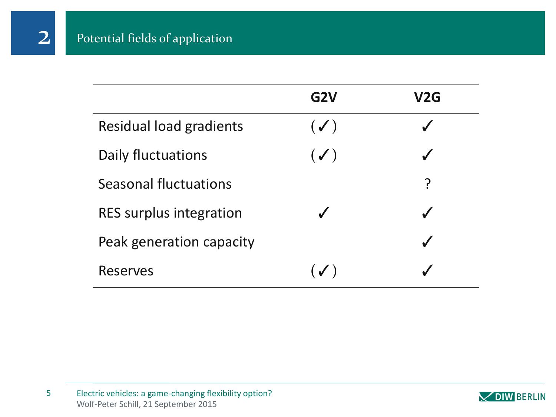2

|                                | G <sub>2</sub> V | V <sub>2</sub> G |
|--------------------------------|------------------|------------------|
| <b>Residual load gradients</b> | $(\checkmark)$   | $\checkmark$     |
| Daily fluctuations             | $(\checkmark)$   | $\boldsymbol{J}$ |
| Seasonal fluctuations          |                  | <u>?</u>         |
| RES surplus integration        | $\checkmark$     |                  |
| Peak generation capacity       |                  |                  |
| <b>Reserves</b>                | $(\sqrt{ } )$    |                  |

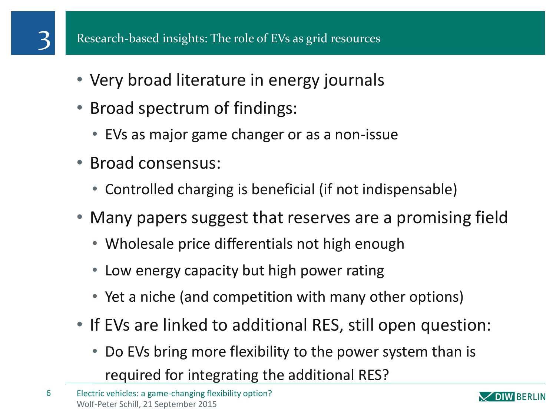- Very broad literature in energy journals
- Broad spectrum of findings:
	- EVs as major game changer or as a non-issue
- Broad consensus:
	- Controlled charging is beneficial (if not indispensable)
- Many papers suggest that reserves are a promising field
	- Wholesale price differentials not high enough
	- Low energy capacity but high power rating
	- Yet a niche (and competition with many other options)
- If EVs are linked to additional RES, still open question:
	- Do EVs bring more flexibility to the power system than is required for integrating the additional RES?

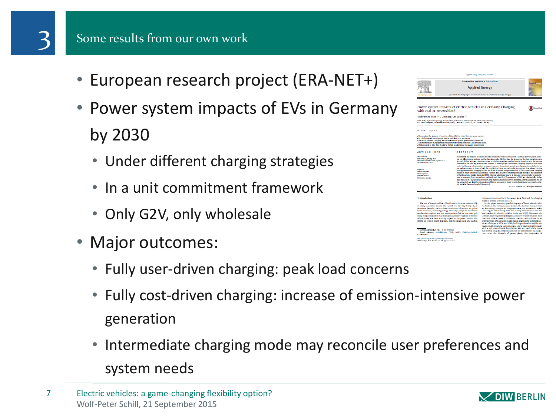- European research project (ERA-NET+)
- Power system impacts of EVs in Germany by 2030
	- Under different charging strategies
	- In a unit commitment framework
	- Only G2V, only wholesale
- Major outcomes:
	- Fully user-driven charging: peak load concerns
	- Fully cost-driven charging: increase of emission-intensive power generation
	- Intermediate charging mode may reconcile user preferences and system needs



**DIW BERLIN**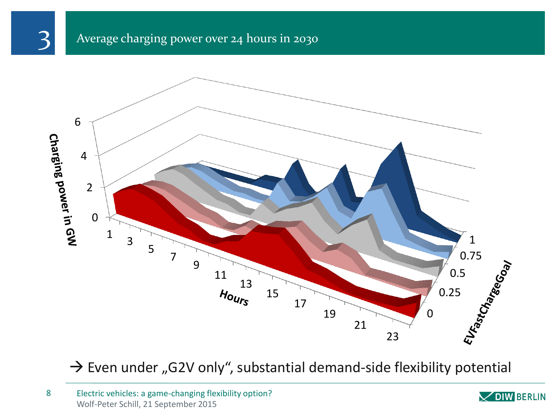# 

## Average charging power over 24 hours in 2030



 $\rightarrow$  Even under "G2V only", substantial demand-side flexibility potential

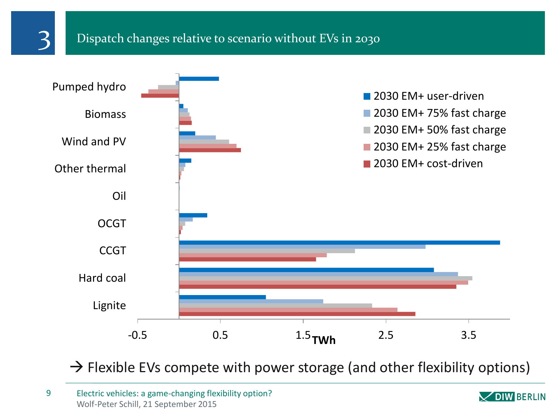

### Dispatch changes relative to scenario without EVs in 2030



 $\rightarrow$  Flexible EVs compete with power storage (and other flexibility options)

Wolf-Peter Schill, 21 September 2015 9 Electric vehicles: a game-changing flexibility option?

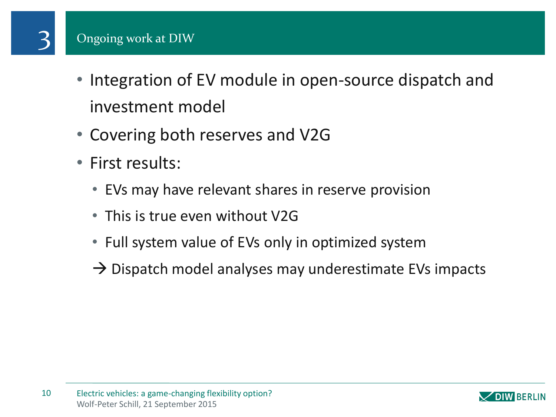# Ongoing work at DIW

3

- Integration of EV module in open-source dispatch and investment model
- Covering both reserves and V2G
- First results:
	- EVs may have relevant shares in reserve provision
	- This is true even without V2G
	- Full system value of EVs only in optimized system
	- $\rightarrow$  Dispatch model analyses may underestimate EVs impacts

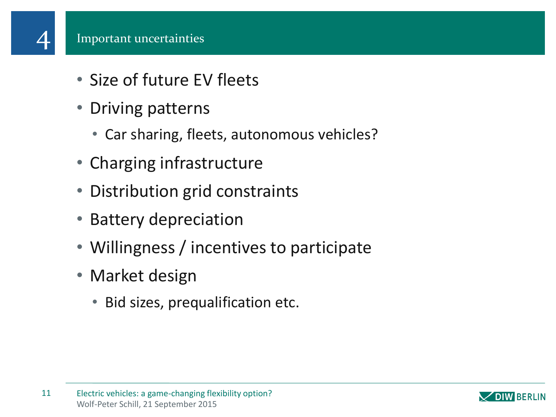- Size of future EV fleets
- Driving patterns
	- Car sharing, fleets, autonomous vehicles?
- Charging infrastructure
- Distribution grid constraints
- Battery depreciation
- Willingness / incentives to participate
- Market design
	- Bid sizes, prequalification etc.

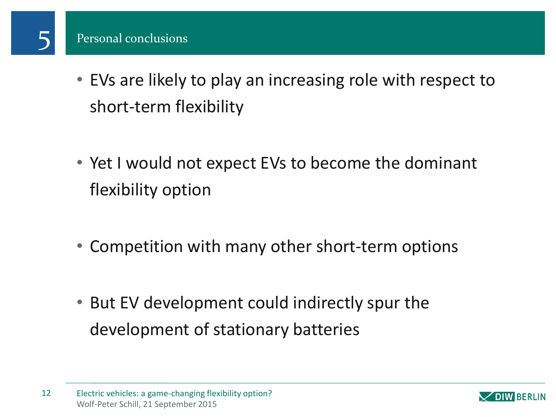

5

- EVs are likely to play an increasing role with respect to short-term flexibility
- Yet I would not expect EVs to become the dominant flexibility option
- Competition with many other short-term options
- But EV development could indirectly spur the development of stationary batteries